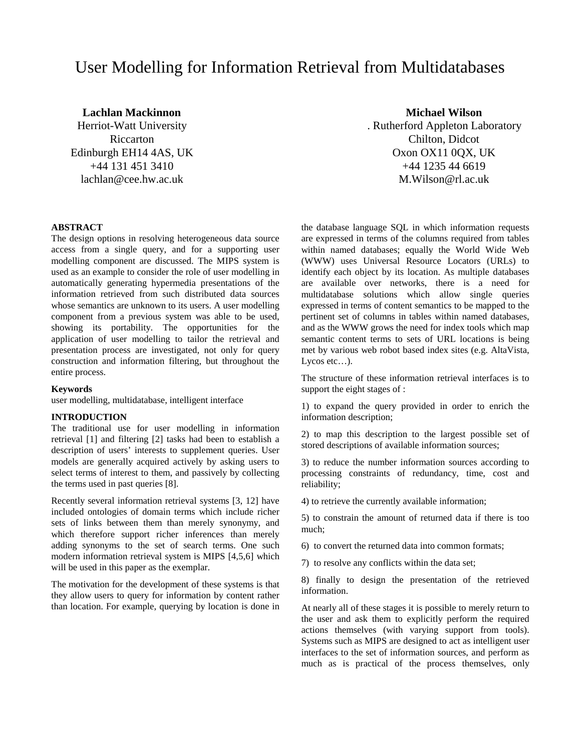# User Modelling for Information Retrieval from Multidatabases

**Lachlan Mackinnon Michael Wilson** Herriot-Watt University . Rutherford Appleton Laboratory Riccarton Chilton, Didcot Edinburgh EH14 4AS, UK Oxon OX11 0QX, UK +44 131 451 3410 +44 1235 44 6619 lachlan@cee.hw.ac.uk M.Wilson@rl.ac.uk

#### **ABSTRACT**

The design options in resolving heterogeneous data source access from a single query, and for a supporting user modelling component are discussed. The MIPS system is used as an example to consider the role of user modelling in automatically generating hypermedia presentations of the information retrieved from such distributed data sources whose semantics are unknown to its users. A user modelling component from a previous system was able to be used, showing its portability. The opportunities for the application of user modelling to tailor the retrieval and presentation process are investigated, not only for query construction and information filtering, but throughout the entire process.

#### **Keywords**

user modelling, multidatabase, intelligent interface

# **INTRODUCTION**

The traditional use for user modelling in information retrieval [1] and filtering [2] tasks had been to establish a description of users' interests to supplement queries. User models are generally acquired actively by asking users to select terms of interest to them, and passively by collecting the terms used in past queries [8].

Recently several information retrieval systems [3, 12] have included ontologies of domain terms which include richer sets of links between them than merely synonymy, and which therefore support richer inferences than merely adding synonyms to the set of search terms. One such modern information retrieval system is MIPS [4,5,6] which will be used in this paper as the exemplar.

The motivation for the development of these systems is that they allow users to query for information by content rather than location. For example, querying by location is done in

the database language SQL in which information requests are expressed in terms of the columns required from tables within named databases; equally the World Wide Web (WWW) uses Universal Resource Locators (URLs) to identify each object by its location. As multiple databases are available over networks, there is a need for multidatabase solutions which allow single queries expressed in terms of content semantics to be mapped to the pertinent set of columns in tables within named databases, and as the WWW grows the need for index tools which map semantic content terms to sets of URL locations is being met by various web robot based index sites (e.g. AltaVista, Lycos etc...).

The structure of these information retrieval interfaces is to support the eight stages of :

1) to expand the query provided in order to enrich the information description;

2) to map this description to the largest possible set of stored descriptions of available information sources;

3) to reduce the number information sources according to processing constraints of redundancy, time, cost and reliability;

4) to retrieve the currently available information;

5) to constrain the amount of returned data if there is too much;

6) to convert the returned data into common formats;

7) to resolve any conflicts within the data set;

8) finally to design the presentation of the retrieved information.

At nearly all of these stages it is possible to merely return to the user and ask them to explicitly perform the required actions themselves (with varying support from tools). Systems such as MIPS are designed to act as intelligent user interfaces to the set of information sources, and perform as much as is practical of the process themselves, only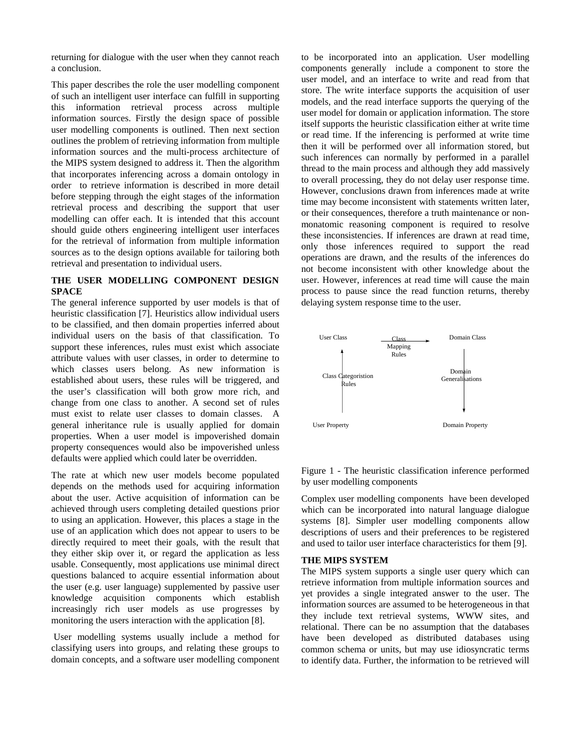returning for dialogue with the user when they cannot reach a conclusion.

This paper describes the role the user modelling component of such an intelligent user interface can fulfill in supporting this information retrieval process across multiple information sources. Firstly the design space of possible user modelling components is outlined. Then next section outlines the problem of retrieving information from multiple information sources and the multi-process architecture of the MIPS system designed to address it. Then the algorithm that incorporates inferencing across a domain ontology in order to retrieve information is described in more detail before stepping through the eight stages of the information retrieval process and describing the support that user modelling can offer each. It is intended that this account should guide others engineering intelligent user interfaces for the retrieval of information from multiple information sources as to the design options available for tailoring both retrieval and presentation to individual users.

### **THE USER MODELLING COMPONENT DESIGN SPACE**

The general inference supported by user models is that of heuristic classification [7]. Heuristics allow individual users to be classified, and then domain properties inferred about individual users on the basis of that classification. To support these inferences, rules must exist which associate attribute values with user classes, in order to determine to which classes users belong. As new information is established about users, these rules will be triggered, and the user's classification will both grow more rich, and change from one class to another. A second set of rules must exist to relate user classes to domain classes. A general inheritance rule is usually applied for domain properties. When a user model is impoverished domain property consequences would also be impoverished unless defaults were applied which could later be overridden.

The rate at which new user models become populated depends on the methods used for acquiring information about the user. Active acquisition of information can be achieved through users completing detailed questions prior to using an application. However, this places a stage in the use of an application which does not appear to users to be directly required to meet their goals, with the result that they either skip over it, or regard the application as less usable. Consequently, most applications use minimal direct questions balanced to acquire essential information about the user (e.g. user language) supplemented by passive user knowledge acquisition components which establish increasingly rich user models as use progresses by monitoring the users interaction with the application [8].

 User modelling systems usually include a method for classifying users into groups, and relating these groups to domain concepts, and a software user modelling component

to be incorporated into an application. User modelling components generally include a component to store the user model, and an interface to write and read from that store. The write interface supports the acquisition of user models, and the read interface supports the querying of the user model for domain or application information. The store itself supports the heuristic classification either at write time or read time. If the inferencing is performed at write time then it will be performed over all information stored, but such inferences can normally by performed in a parallel thread to the main process and although they add massively to overall processing, they do not delay user response time. However, conclusions drawn from inferences made at write time may become inconsistent with statements written later, or their consequences, therefore a truth maintenance or nonmonatomic reasoning component is required to resolve these inconsistencies. If inferences are drawn at read time, only those inferences required to support the read operations are drawn, and the results of the inferences do not become inconsistent with other knowledge about the user. However, inferences at read time will cause the main process to pause since the read function returns, thereby delaying system response time to the user.



Figure 1 - The heuristic classification inference performed by user modelling components

Complex user modelling components have been developed which can be incorporated into natural language dialogue systems [8]. Simpler user modelling components allow descriptions of users and their preferences to be registered and used to tailor user interface characteristics for them [9].

#### **THE MIPS SYSTEM**

The MIPS system supports a single user query which can retrieve information from multiple information sources and yet provides a single integrated answer to the user. The information sources are assumed to be heterogeneous in that they include text retrieval systems, WWW sites, and relational. There can be no assumption that the databases have been developed as distributed databases using common schema or units, but may use idiosyncratic terms to identify data. Further, the information to be retrieved will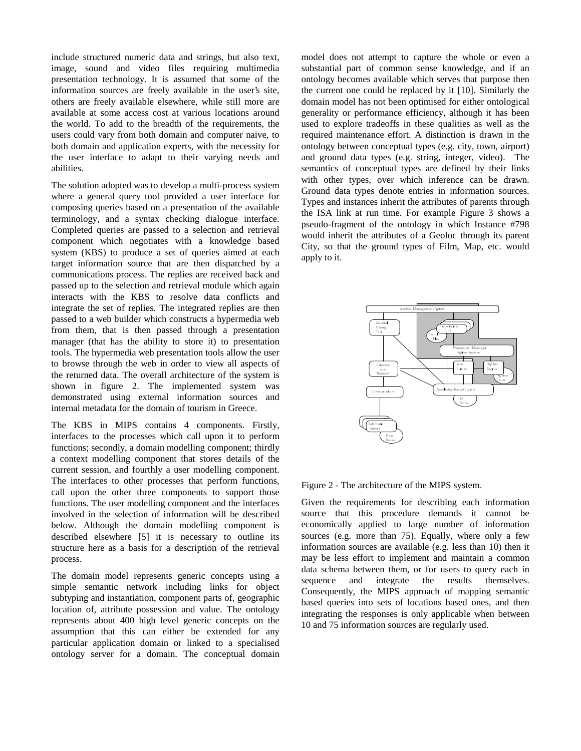include structured numeric data and strings, but also text, image, sound and video files requiring multimedia presentation technology. It is assumed that some of the information sources are freely available in the user's site, others are freely available elsewhere, while still more are available at some access cost at various locations around the world. To add to the breadth of the requirements, the users could vary from both domain and computer naive, to both domain and application experts, with the necessity for the user interface to adapt to their varying needs and abilities.

The solution adopted was to develop a multi-process system where a general query tool provided a user interface for composing queries based on a presentation of the available terminology, and a syntax checking dialogue interface. Completed queries are passed to a selection and retrieval component which negotiates with a knowledge based system (KBS) to produce a set of queries aimed at each target information source that are then dispatched by a communications process. The replies are received back and passed up to the selection and retrieval module which again interacts with the KBS to resolve data conflicts and integrate the set of replies. The integrated replies are then passed to a web builder which constructs a hypermedia web from them, that is then passed through a presentation manager (that has the ability to store it) to presentation tools. The hypermedia web presentation tools allow the user to browse through the web in order to view all aspects of the returned data. The overall architecture of the system is shown in figure 2. The implemented system was demonstrated using external information sources and internal metadata for the domain of tourism in Greece.

The KBS in MIPS contains 4 components. Firstly, interfaces to the processes which call upon it to perform functions; secondly, a domain modelling component; thirdly a context modelling component that stores details of the current session, and fourthly a user modelling component. The interfaces to other processes that perform functions, call upon the other three components to support those functions. The user modelling component and the interfaces involved in the selection of information will be described below. Although the domain modelling component is described elsewhere [5] it is necessary to outline its structure here as a basis for a description of the retrieval process.

The domain model represents generic concepts using a simple semantic network including links for object subtyping and instantiation, component parts of, geographic location of, attribute possession and value. The ontology represents about 400 high level generic concepts on the assumption that this can either be extended for any particular application domain or linked to a specialised ontology server for a domain. The conceptual domain

model does not attempt to capture the whole or even a substantial part of common sense knowledge, and if an ontology becomes available which serves that purpose then the current one could be replaced by it [10]. Similarly the domain model has not been optimised for either ontological generality or performance efficiency, although it has been used to explore tradeoffs in these qualities as well as the required maintenance effort. A distinction is drawn in the ontology between conceptual types (e.g. city, town, airport) and ground data types (e.g. string, integer, video). The semantics of conceptual types are defined by their links with other types, over which inference can be drawn. Ground data types denote entries in information sources. Types and instances inherit the attributes of parents through the ISA link at run time. For example Figure 3 shows a pseudo-fragment of the ontology in which Instance #798 would inherit the attributes of a Geoloc through its parent City, so that the ground types of Film, Map, etc. would apply to it.



Figure 2 - The architecture of the MIPS system.

Given the requirements for describing each information source that this procedure demands it cannot be economically applied to large number of information sources (e.g. more than 75). Equally, where only a few information sources are available (e.g. less than 10) then it may be less effort to implement and maintain a common data schema between them, or for users to query each in sequence and integrate the results themselves. Consequently, the MIPS approach of mapping semantic based queries into sets of locations based ones, and then integrating the responses is only applicable when between 10 and 75 information sources are regularly used.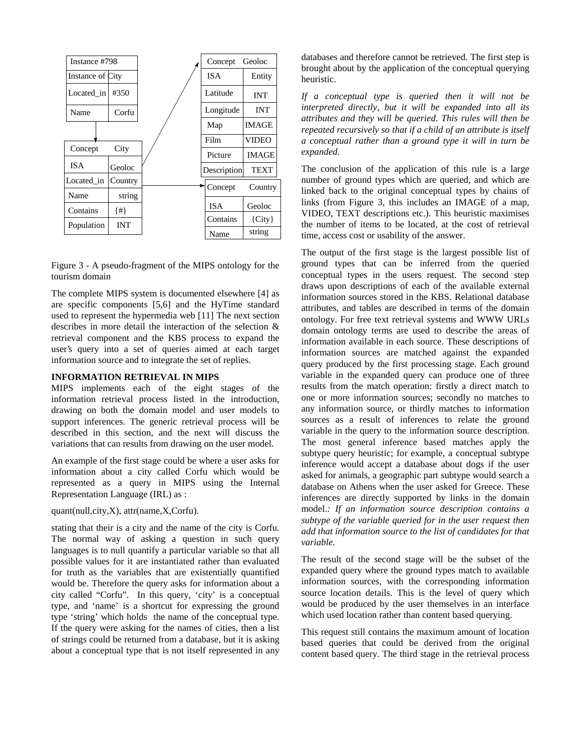

Figure 3 - A pseudo-fragment of the MIPS ontology for the tourism domain

The complete MIPS system is documented elsewhere [4] as are specific components [5,6] and the HyTime standard used to represent the hypermedia web [11] The next section describes in more detail the interaction of the selection & retrieval component and the KBS process to expand the user's query into a set of queries aimed at each target information source and to integrate the set of replies.

#### **INFORMATION RETRIEVAL IN MIPS**

MIPS implements each of the eight stages of the information retrieval process listed in the introduction, drawing on both the domain model and user models to support inferences. The generic retrieval process will be described in this section, and the next will discuss the variations that can results from drawing on the user model.

An example of the first stage could be where a user asks for information about a city called Corfu which would be represented as a query in MIPS using the Internal Representation Language (IRL) as :

quant(null,city,X), attr(name,X,Corfu).

stating that their is a city and the name of the city is Corfu. The normal way of asking a question in such query languages is to null quantify a particular variable so that all possible values for it are instantiated rather than evaluated for truth as the variables that are existentially quantified would be. Therefore the query asks for information about a city called "Corfu". In this query, 'city' is a conceptual type, and 'name' is a shortcut for expressing the ground type 'string' which holds the name of the conceptual type. If the query were asking for the names of cities, then a list of strings could be returned from a database, but it is asking about a conceptual type that is not itself represented in any

databases and therefore cannot be retrieved. The first step is brought about by the application of the conceptual querying heuristic.

*If a conceptual type is queried then it will not be interpreted directly, but it will be expanded into all its attributes and they will be queried. This rules will then be repeated recursively so that if a child of an attribute is itself a conceptual rather than a ground type it will in turn be expanded.*

The conclusion of the application of this rule is a large number of ground types which are queried, and which are linked back to the original conceptual types by chains of links (from Figure 3, this includes an IMAGE of a map, VIDEO, TEXT descriptions etc.). This heuristic maximises the number of items to be located, at the cost of retrieval time, access cost or usability of the answer.

The output of the first stage is the largest possible list of ground types that can be inferred from the queried conceptual types in the users request. The second step draws upon descriptions of each of the available external information sources stored in the KBS. Relational database attributes, and tables are described in terms of the domain ontology. For free text retrieval systems and WWW URLs domain ontology terms are used to describe the areas of information available in each source. These descriptions of information sources are matched against the expanded query produced by the first processing stage. Each ground variable in the expanded query can produce one of three results from the match operation: firstly a direct match to one or more information sources; secondly no matches to any information source, or thirdly matches to information sources as a result of inferences to relate the ground variable in the query to the information source description. The most general inference based matches apply the subtype query heuristic; for example, a conceptual subtype inference would accept a database about dogs if the user asked for animals, a geographic part subtype would search a database on Athens when the user asked for Greece. These inferences are directly supported by links in the domain model.*: If an information source description contains a subtype of the variable queried for in the user request then add that information source to the list of candidates for that variable.*

The result of the second stage will be the subset of the expanded query where the ground types match to available information sources, with the corresponding information source location details. This is the level of query which would be produced by the user themselves in an interface which used location rather than content based querying.

This request still contains the maximum amount of location based queries that could be derived from the original content based query. The third stage in the retrieval process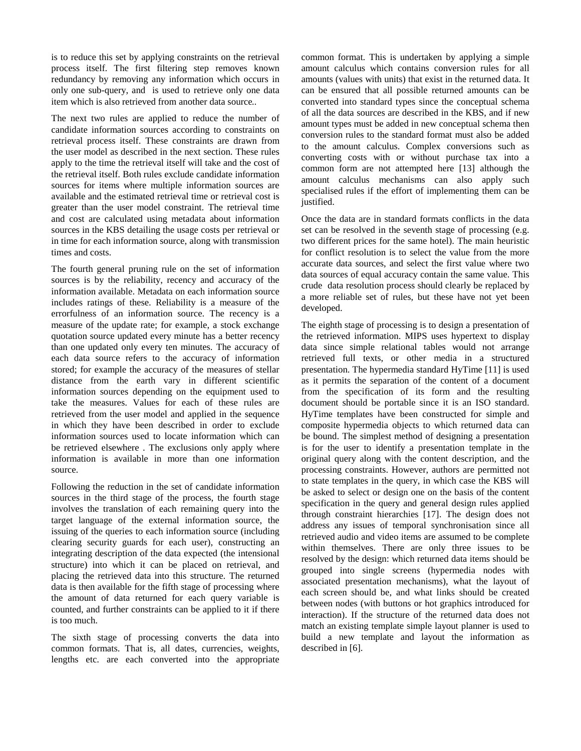is to reduce this set by applying constraints on the retrieval process itself. The first filtering step removes known redundancy by removing any information which occurs in only one sub-query, and is used to retrieve only one data item which is also retrieved from another data source*..*

The next two rules are applied to reduce the number of candidate information sources according to constraints on retrieval process itself. These constraints are drawn from the user model as described in the next section. These rules apply to the time the retrieval itself will take and the cost of the retrieval itself. Both rules exclude candidate information sources for items where multiple information sources are available and the estimated retrieval time or retrieval cost is greater than the user model constraint. The retrieval time and cost are calculated using metadata about information sources in the KBS detailing the usage costs per retrieval or in time for each information source, along with transmission times and costs.

The fourth general pruning rule on the set of information sources is by the reliability, recency and accuracy of the information available. Metadata on each information source includes ratings of these. Reliability is a measure of the errorfulness of an information source. The recency is a measure of the update rate; for example, a stock exchange quotation source updated every minute has a better recency than one updated only every ten minutes. The accuracy of each data source refers to the accuracy of information stored; for example the accuracy of the measures of stellar distance from the earth vary in different scientific information sources depending on the equipment used to take the measures. Values for each of these rules are retrieved from the user model and applied in the sequence in which they have been described in order to exclude information sources used to locate information which can be retrieved elsewhere . The exclusions only apply where information is available in more than one information source.

Following the reduction in the set of candidate information sources in the third stage of the process, the fourth stage involves the translation of each remaining query into the target language of the external information source, the issuing of the queries to each information source (including clearing security guards for each user), constructing an integrating description of the data expected (the intensional structure) into which it can be placed on retrieval, and placing the retrieved data into this structure. The returned data is then available for the fifth stage of processing where the amount of data returned for each query variable is counted, and further constraints can be applied to it if there is too much.

The sixth stage of processing converts the data into common formats. That is, all dates, currencies, weights, lengths etc. are each converted into the appropriate

common format. This is undertaken by applying a simple amount calculus which contains conversion rules for all amounts (values with units) that exist in the returned data. It can be ensured that all possible returned amounts can be converted into standard types since the conceptual schema of all the data sources are described in the KBS, and if new amount types must be added in new conceptual schema then conversion rules to the standard format must also be added to the amount calculus. Complex conversions such as converting costs with or without purchase tax into a common form are not attempted here [13] although the amount calculus mechanisms can also apply such specialised rules if the effort of implementing them can be justified.

Once the data are in standard formats conflicts in the data set can be resolved in the seventh stage of processing (e.g. two different prices for the same hotel). The main heuristic for conflict resolution is to select the value from the more accurate data sources, and select the first value where two data sources of equal accuracy contain the same value. This crude data resolution process should clearly be replaced by a more reliable set of rules, but these have not yet been developed.

The eighth stage of processing is to design a presentation of the retrieved information. MIPS uses hypertext to display data since simple relational tables would not arrange retrieved full texts, or other media in a structured presentation. The hypermedia standard HyTime [11] is used as it permits the separation of the content of a document from the specification of its form and the resulting document should be portable since it is an ISO standard. HyTime templates have been constructed for simple and composite hypermedia objects to which returned data can be bound. The simplest method of designing a presentation is for the user to identify a presentation template in the original query along with the content description, and the processing constraints. However, authors are permitted not to state templates in the query, in which case the KBS will be asked to select or design one on the basis of the content specification in the query and general design rules applied through constraint hierarchies [17]. The design does not address any issues of temporal synchronisation since all retrieved audio and video items are assumed to be complete within themselves. There are only three issues to be resolved by the design: which returned data items should be grouped into single screens (hypermedia nodes with associated presentation mechanisms), what the layout of each screen should be, and what links should be created between nodes (with buttons or hot graphics introduced for interaction). If the structure of the returned data does not match an existing template simple layout planner is used to build a new template and layout the information as described in [6].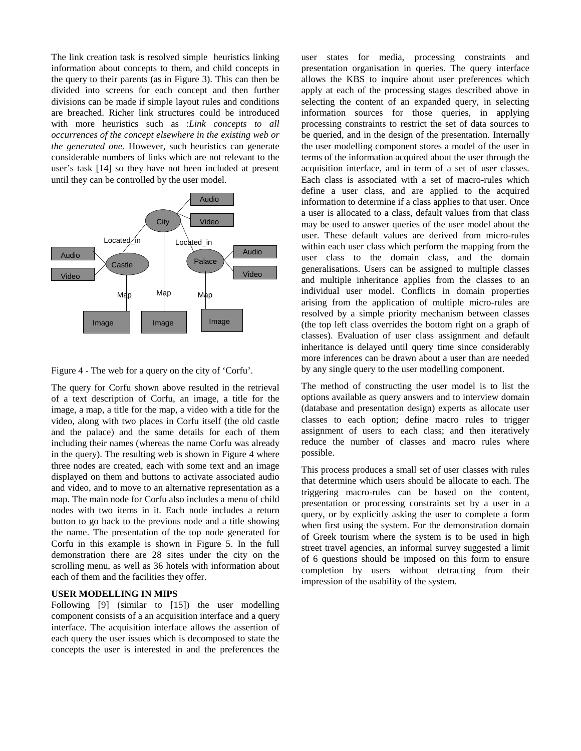The link creation task is resolved simple heuristics linking information about concepts to them, and child concepts in the query to their parents (as in Figure 3). This can then be divided into screens for each concept and then further divisions can be made if simple layout rules and conditions are breached. Richer link structures could be introduced with more heuristics such as :*Link concepts to all occurrences of the concept elsewhere in the existing web or the generated one.* However, such heuristics can generate considerable numbers of links which are not relevant to the user's task [14] so they have not been included at present until they can be controlled by the user model.





The query for Corfu shown above resulted in the retrieval of a text description of Corfu, an image, a title for the image, a map, a title for the map, a video with a title for the video, along with two places in Corfu itself (the old castle and the palace) and the same details for each of them including their names (whereas the name Corfu was already in the query). The resulting web is shown in Figure 4 where three nodes are created, each with some text and an image displayed on them and buttons to activate associated audio and video, and to move to an alternative representation as a map. The main node for Corfu also includes a menu of child nodes with two items in it. Each node includes a return button to go back to the previous node and a title showing the name. The presentation of the top node generated for Corfu in this example is shown in Figure 5. In the full demonstration there are 28 sites under the city on the scrolling menu, as well as 36 hotels with information about each of them and the facilities they offer.

## **USER MODELLING IN MIPS**

Following [9] (similar to [15]) the user modelling component consists of a an acquisition interface and a query interface. The acquisition interface allows the assertion of each query the user issues which is decomposed to state the concepts the user is interested in and the preferences the user states for media, processing constraints and presentation organisation in queries. The query interface allows the KBS to inquire about user preferences which apply at each of the processing stages described above in selecting the content of an expanded query, in selecting information sources for those queries, in applying processing constraints to restrict the set of data sources to be queried, and in the design of the presentation. Internally the user modelling component stores a model of the user in terms of the information acquired about the user through the acquisition interface, and in term of a set of user classes. Each class is associated with a set of macro-rules which define a user class, and are applied to the acquired information to determine if a class applies to that user. Once a user is allocated to a class, default values from that class may be used to answer queries of the user model about the user. These default values are derived from micro-rules within each user class which perform the mapping from the user class to the domain class, and the domain generalisations. Users can be assigned to multiple classes and multiple inheritance applies from the classes to an individual user model. Conflicts in domain properties arising from the application of multiple micro-rules are resolved by a simple priority mechanism between classes (the top left class overrides the bottom right on a graph of classes). Evaluation of user class assignment and default inheritance is delayed until query time since considerably more inferences can be drawn about a user than are needed by any single query to the user modelling component.

The method of constructing the user model is to list the options available as query answers and to interview domain (database and presentation design) experts as allocate user classes to each option; define macro rules to trigger assignment of users to each class; and then iteratively reduce the number of classes and macro rules where possible.

This process produces a small set of user classes with rules that determine which users should be allocate to each. The triggering macro-rules can be based on the content, presentation or processing constraints set by a user in a query, or by explicitly asking the user to complete a form when first using the system. For the demonstration domain of Greek tourism where the system is to be used in high street travel agencies, an informal survey suggested a limit of 6 questions should be imposed on this form to ensure completion by users without detracting from their impression of the usability of the system.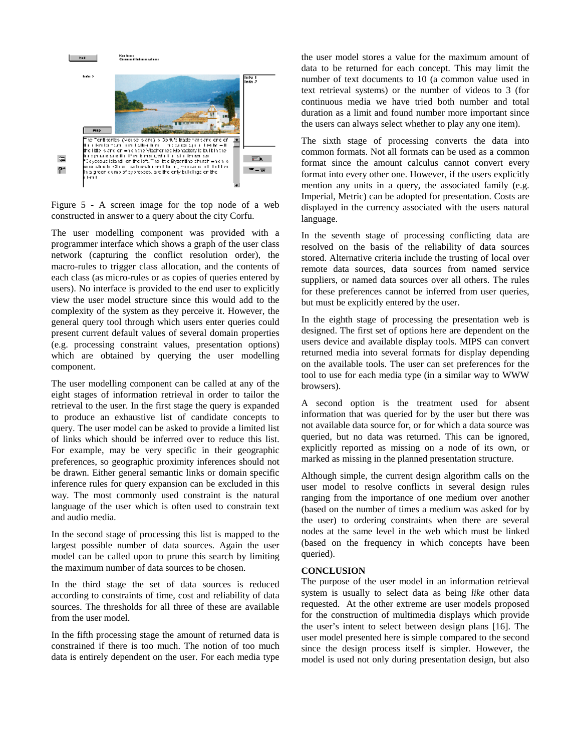

Figure 5 - A screen image for the top node of a web constructed in answer to a query about the city Corfu.

The user modelling component was provided with a programmer interface which shows a graph of the user class network (capturing the conflict resolution order), the macro-rules to trigger class allocation, and the contents of each class (as micro-rules or as copies of queries entered by users). No interface is provided to the end user to explicitly view the user model structure since this would add to the complexity of the system as they perceive it. However, the general query tool through which users enter queries could present current default values of several domain properties (e.g. processing constraint values, presentation options) which are obtained by querying the user modelling component.

The user modelling component can be called at any of the eight stages of information retrieval in order to tailor the retrieval to the user. In the first stage the query is expanded to produce an exhaustive list of candidate concepts to query. The user model can be asked to provide a limited list of links which should be inferred over to reduce this list. For example, may be very specific in their geographic preferences, so geographic proximity inferences should not be drawn. Either general semantic links or domain specific inference rules for query expansion can be excluded in this way. The most commonly used constraint is the natural language of the user which is often used to constrain text and audio media.

In the second stage of processing this list is mapped to the largest possible number of data sources. Again the user model can be called upon to prune this search by limiting the maximum number of data sources to be chosen.

In the third stage the set of data sources is reduced according to constraints of time, cost and reliability of data sources. The thresholds for all three of these are available from the user model.

In the fifth processing stage the amount of returned data is constrained if there is too much. The notion of too much data is entirely dependent on the user. For each media type

the user model stores a value for the maximum amount of data to be returned for each concept. This may limit the number of text documents to 10 (a common value used in text retrieval systems) or the number of videos to 3 (for continuous media we have tried both number and total duration as a limit and found number more important since the users can always select whether to play any one item).

The sixth stage of processing converts the data into common formats. Not all formats can be used as a common format since the amount calculus cannot convert every format into every other one. However, if the users explicitly mention any units in a query, the associated family (e.g. Imperial, Metric) can be adopted for presentation. Costs are displayed in the currency associated with the users natural language.

In the seventh stage of processing conflicting data are resolved on the basis of the reliability of data sources stored. Alternative criteria include the trusting of local over remote data sources, data sources from named service suppliers, or named data sources over all others. The rules for these preferences cannot be inferred from user queries, but must be explicitly entered by the user.

In the eighth stage of processing the presentation web is designed. The first set of options here are dependent on the users device and available display tools. MIPS can convert returned media into several formats for display depending on the available tools. The user can set preferences for the tool to use for each media type (in a similar way to WWW browsers).

A second option is the treatment used for absent information that was queried for by the user but there was not available data source for, or for which a data source was queried, but no data was returned. This can be ignored, explicitly reported as missing on a node of its own, or marked as missing in the planned presentation structure.

Although simple, the current design algorithm calls on the user model to resolve conflicts in several design rules ranging from the importance of one medium over another (based on the number of times a medium was asked for by the user) to ordering constraints when there are several nodes at the same level in the web which must be linked (based on the frequency in which concepts have been queried).

#### **CONCLUSION**

The purpose of the user model in an information retrieval system is usually to select data as being *like* other data requested. At the other extreme are user models proposed for the construction of multimedia displays which provide the user's intent to select between design plans [16]. The user model presented here is simple compared to the second since the design process itself is simpler. However, the model is used not only during presentation design, but also